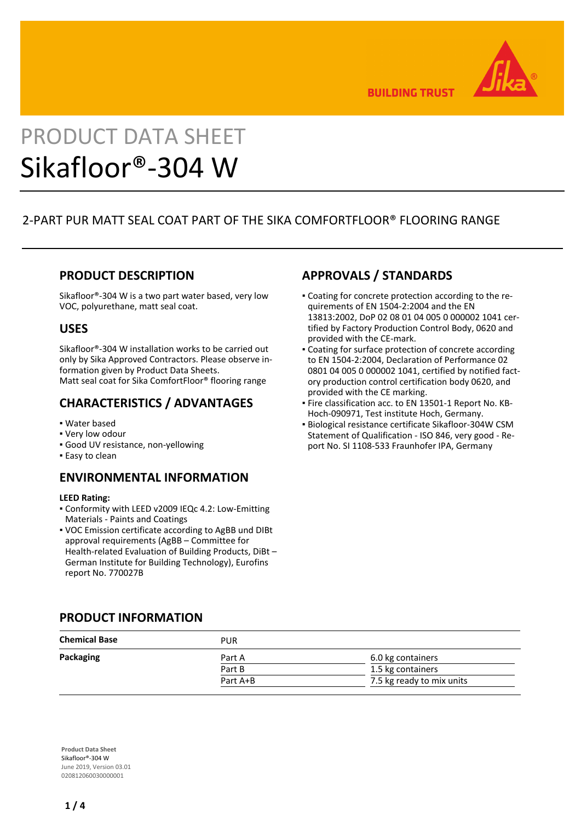

**BUILDING TRUST** 

# PRODUCT DATA SHEET Sikafloor®-304 W

# 2-PART PUR MATT SEAL COAT PART OF THE SIKA COMFORTFLOOR® FLOORING RANGE

## **PRODUCT DESCRIPTION**

Sikafloor®-304 W is a two part water based, very low VOC, polyurethane, matt seal coat.

## **USES**

Sikafloor®-304 W installation works to be carried out only by Sika Approved Contractors. Please observe information given by Product Data Sheets. Matt seal coat for Sika ComfortFloor® flooring range

## **CHARACTERISTICS / ADVANTAGES**

- Water based
- Very low odour
- Good UV resistance, non-yellowing
- **Easy to clean**

## **ENVIRONMENTAL INFORMATION**

#### **LEED Rating:**

- Conformity with LEED v2009 IEQc 4.2: Low-Emitting Materials - Paints and Coatings
- VOC Emission certificate according to AgBB und DIBt approval requirements (AgBB – Committee for Health-related Evaluation of Building Products, DiBt – German Institute for Building Technology), Eurofins report No. 770027B

## **APPROVALS / STANDARDS**

- Coating for concrete protection according to the re-▪ quirements of EN 1504-2:2004 and the EN 13813:2002, DoP 02 08 01 04 005 0 000002 1041 certified by Factory Production Control Body, 0620 and provided with the CE-mark.
- Coating for surface protection of concrete according to EN 1504-2:2004, Declaration of Performance 02 0801 04 005 0 000002 1041, certified by notified factory production control certification body 0620, and provided with the CE marking.
- **Fire classification acc. to EN 13501-1 Report No. KB-**Hoch-090971, Test institute Hoch, Germany.
- Biological resistance certificate Sikafloor-304W CSM Statement of Qualification - ISO 846, very good - Report No. SI 1108-533 Fraunhofer IPA, Germany

## **PRODUCT INFORMATION**

| <b>Chemical Base</b> | <b>PUR</b> |                           |
|----------------------|------------|---------------------------|
| Packaging            | Part A     | 6.0 kg containers         |
|                      | Part B     | 1.5 kg containers         |
|                      | Part A+B   | 7.5 kg ready to mix units |

**Product Data Sheet** Sikafloor®-304 W June 2019, Version 03.01 020812060030000001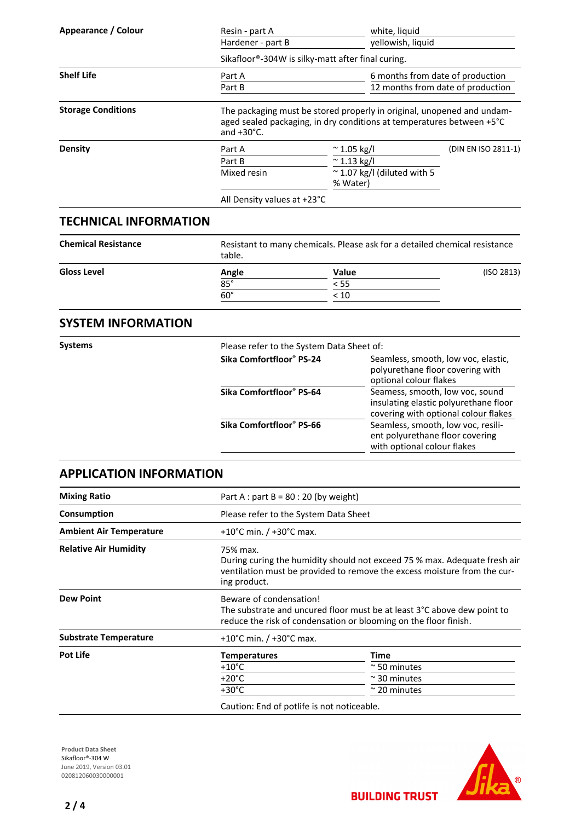| Appearance / Colour       | Resin - part A                                                                                                                                                          | white, liquid                                     |                                   |  |  |
|---------------------------|-------------------------------------------------------------------------------------------------------------------------------------------------------------------------|---------------------------------------------------|-----------------------------------|--|--|
|                           | Hardener - part B                                                                                                                                                       | yellowish, liquid                                 |                                   |  |  |
|                           |                                                                                                                                                                         | Sikafloor®-304W is silky-matt after final curing. |                                   |  |  |
| <b>Shelf Life</b>         | Part A                                                                                                                                                                  |                                                   | 6 months from date of production  |  |  |
|                           | Part B                                                                                                                                                                  |                                                   | 12 months from date of production |  |  |
| <b>Storage Conditions</b> | The packaging must be stored properly in original, unopened and undam-<br>aged sealed packaging, in dry conditions at temperatures between +5°C<br>and $+30^{\circ}$ C. |                                                   |                                   |  |  |
| <b>Density</b>            | Part A                                                                                                                                                                  | $\approx$ 1.05 kg/l                               | (DIN EN ISO 2811-1)               |  |  |
|                           | Part B                                                                                                                                                                  | $^{\sim}$ 1.13 kg/l                               |                                   |  |  |
|                           | Mixed resin                                                                                                                                                             | $\approx$ 1.07 kg/l (diluted with 5<br>% Water)   |                                   |  |  |
|                           | All Density values at +23°C                                                                                                                                             |                                                   |                                   |  |  |
| TECHNICAL INFODNAATIONI   |                                                                                                                                                                         |                                                   |                                   |  |  |

## **TECHNICAL INFORMATION**

| <b>Chemical Resistance</b> | Resistant to many chemicals. Please ask for a detailed chemical resistance<br>table. |       |            |
|----------------------------|--------------------------------------------------------------------------------------|-------|------------|
| <b>Gloss Level</b>         | Angle                                                                                | Value | (ISO 2813) |
|                            | $85^\circ$                                                                           | < 55  |            |
|                            | $60^\circ$                                                                           | < 10  |            |

## **SYSTEM INFORMATION**

| Please refer to the System Data Sheet of:                                                                        |  |  |
|------------------------------------------------------------------------------------------------------------------|--|--|
| Seamless, smooth, low voc, elastic,<br>polyurethane floor covering with<br>optional colour flakes                |  |  |
| Seamess, smooth, low voc, sound<br>insulating elastic polyurethane floor<br>covering with optional colour flakes |  |  |
| Seamless, smooth, low voc, resili-<br>ent polyurethane floor covering<br>with optional colour flakes             |  |  |
|                                                                                                                  |  |  |

## **APPLICATION INFORMATION**

| <b>Mixing Ratio</b>            | Part A : part B = $80:20$ (by weight)      |                                                                                                                                                       |  |  |
|--------------------------------|--------------------------------------------|-------------------------------------------------------------------------------------------------------------------------------------------------------|--|--|
| Consumption                    |                                            | Please refer to the System Data Sheet                                                                                                                 |  |  |
| <b>Ambient Air Temperature</b> | +10°C min. $/$ +30°C max.                  |                                                                                                                                                       |  |  |
| <b>Relative Air Humidity</b>   | 75% max.<br>ing product.                   | During curing the humidity should not exceed 75 % max. Adequate fresh air<br>ventilation must be provided to remove the excess moisture from the cur- |  |  |
| <b>Dew Point</b>               | Beware of condensation!                    | The substrate and uncured floor must be at least 3°C above dew point to<br>reduce the risk of condensation or blooming on the floor finish.           |  |  |
| <b>Substrate Temperature</b>   | +10°C min. $/$ +30°C max.                  |                                                                                                                                                       |  |  |
| <b>Pot Life</b>                | <b>Temperatures</b>                        | Time                                                                                                                                                  |  |  |
|                                | $+10^{\circ}$ C                            | $\approx$ 50 minutes                                                                                                                                  |  |  |
|                                | $+20^{\circ}$ C                            | $\approx$ 30 minutes                                                                                                                                  |  |  |
|                                | $+30^{\circ}$ C                            | $\approx$ 20 minutes                                                                                                                                  |  |  |
|                                | Caution: End of potlife is not noticeable. |                                                                                                                                                       |  |  |

**Product Data Sheet** Sikafloor®-304 W June 2019, Version 03.01 0208120600300000001



**BUILDING TRUST**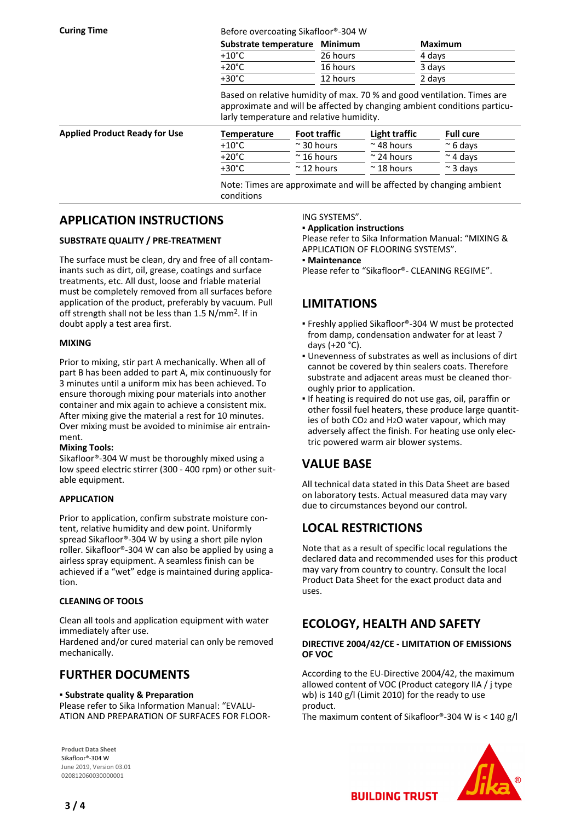**Curing Time Curing Time Before overcoating Sikafloor®-304 W** 

| Substrate temperature Minimum |          | Maximum |
|-------------------------------|----------|---------|
| $+10^{\circ}$ C               | 26 hours | 4 days  |
| $+20^{\circ}$ C               | 16 hours | 3 days  |
| $+30^{\circ}$ C               | 12 hours | 2 days  |

Based on relative humidity of max. 70 % and good ventilation. Times are approximate and will be affected by changing ambient conditions particularly temperature and relative humidity.

| <b>Applied Product Ready for Use</b> | Temperature     | <b>Foot traffic</b> | Light traffic      | <b>Full cure</b> |
|--------------------------------------|-----------------|---------------------|--------------------|------------------|
|                                      | $+10^{\circ}$ C | $\approx$ 30 hours  | $\approx$ 48 hours | $\approx$ 6 davs |
|                                      | $+20^{\circ}$ C | $\approx$ 16 hours  | $\sim$ 24 hours    | $\approx$ 4 davs |
|                                      | +30°C           | $\approx$ 12 hours  | $\approx$ 18 hours | $\approx$ 3 davs |
|                                      |                 |                     |                    |                  |

Note: Times are approximate and will be affected by changing ambient conditions

## **APPLICATION INSTRUCTIONS**

### **SUBSTRATE QUALITY / PRE-TREATMENT**

The surface must be clean, dry and free of all contaminants such as dirt, oil, grease, coatings and surface treatments, etc. All dust, loose and friable material must be completely removed from all surfaces before application of the product, preferably by vacuum. Pull off strength shall not be less than 1.5 N/mm2. If in doubt apply a test area first.

#### **MIXING**

Prior to mixing, stir part A mechanically. When all of part B has been added to part A, mix continuously for 3 minutes until a uniform mix has been achieved. To ensure thorough mixing pour materials into another container and mix again to achieve a consistent mix. After mixing give the material a rest for 10 minutes. Over mixing must be avoided to minimise air entrainment.

#### **Mixing Tools:**

Sikafloor®-304 W must be thoroughly mixed using a low speed electric stirrer (300 - 400 rpm) or other suitable equipment.

### **APPLICATION**

Prior to application, confirm substrate moisture content, relative humidity and dew point. Uniformly spread Sikafloor®-304 W by using a short pile nylon roller. Sikafloor®-304 W can also be applied by using a airless spray equipment. A seamless finish can be achieved if a "wet" edge is maintained during application.

#### **CLEANING OF TOOLS**

Clean all tools and application equipment with water immediately after use.

Hardened and/or cured material can only be removed mechanically.

## **FURTHER DOCUMENTS**

#### ▪ **Substrate quality & Preparation**

Please refer to Sika Information Manual: "EVALU-ATION AND PREPARATION OF SURFACES FOR FLOOR-

**Product Data Sheet** Sikafloor®-304 W June 2019, Version 03.01 020812060030000001

#### ING SYSTEMS".

#### ▪ **Application instructions**

Please refer to Sika Information Manual: "MIXING & APPLICATION OF FLOORING SYSTEMS".

#### ▪ **Maintenance**

Please refer to "Sikafloor®- CLEANING REGIME".

## **LIMITATIONS**

- Freshly applied Sikafloor®-304 W must be protected from damp, condensation andwater for at least 7 days (+20 °C).
- Unevenness of substrates as well as inclusions of dirt cannot be covered by thin sealers coats. Therefore substrate and adjacent areas must be cleaned thoroughly prior to application.
- **.** If heating is required do not use gas, oil, paraffin or other fossil fuel heaters, these produce large quantities of both CO2 and H2O water vapour, which may adversely affect the finish. For heating use only electric powered warm air blower systems.

## **VALUE BASE**

All technical data stated in this Data Sheet are based on laboratory tests. Actual measured data may vary due to circumstances beyond our control.

## **LOCAL RESTRICTIONS**

Note that as a result of specific local regulations the declared data and recommended uses for this product may vary from country to country. Consult the local Product Data Sheet for the exact product data and uses.

## **ECOLOGY, HEALTH AND SAFETY**

#### **DIRECTIVE 2004/42/CE - LIMITATION OF EMISSIONS OF VOC**

According to the EU-Directive 2004/42, the maximum allowed content of VOC (Product category IIA / j type wb) is 140 g/l (Limit 2010) for the ready to use product.

The maximum content of Sikafloor®-304 W is < 140 g/l

**BUILDING TRUST**